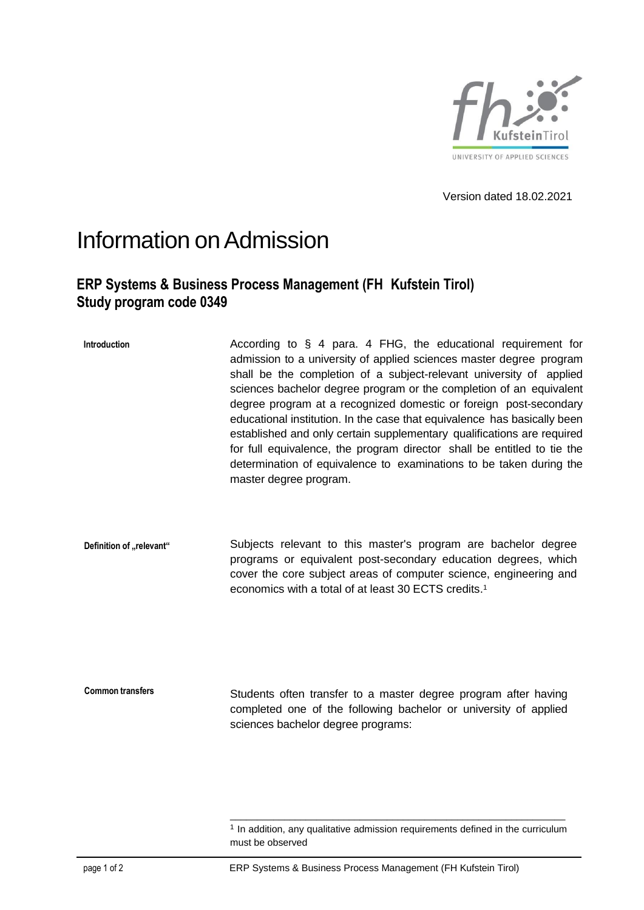

Version dated 18.02.2021

## Information onAdmission

## **ERP Systems & Business Process Management (FH Kufstein Tirol) Study program code 0349**

**Introduction** According to § 4 para. 4 FHG, the educational requirement for admission to a university of applied sciences master degree program shall be the completion of a subject-relevant university of applied sciences bachelor degree program or the completion of an equivalent degree program at a recognized domestic or foreign post-secondary educational institution. In the case that equivalence has basically been established and only certain supplementary qualifications are required for full equivalence, the program director shall be entitled to tie the determination of equivalence to examinations to be taken during the master degree program.

**Definition of ,,relevant"** Subjects relevant to this master's program are bachelor degree programs or equivalent post-secondary education degrees, which cover the core subject areas of computer science, engineering and economics with a total of at least 30 ECTS credits. 1

**Common transfers** Students often transfer to a master degree program after having completed one of the following bachelor or university of applied sciences bachelor degree programs:

\_\_\_\_\_\_\_\_\_\_\_\_\_\_\_\_\_\_\_\_\_\_\_\_\_\_\_\_\_\_\_\_\_\_\_\_\_\_\_\_\_\_\_\_\_\_\_\_\_\_\_\_\_\_\_\_\_\_\_\_\_\_ <sup>1</sup> In addition, any qualitative admission requirements defined in the curriculum must be observed